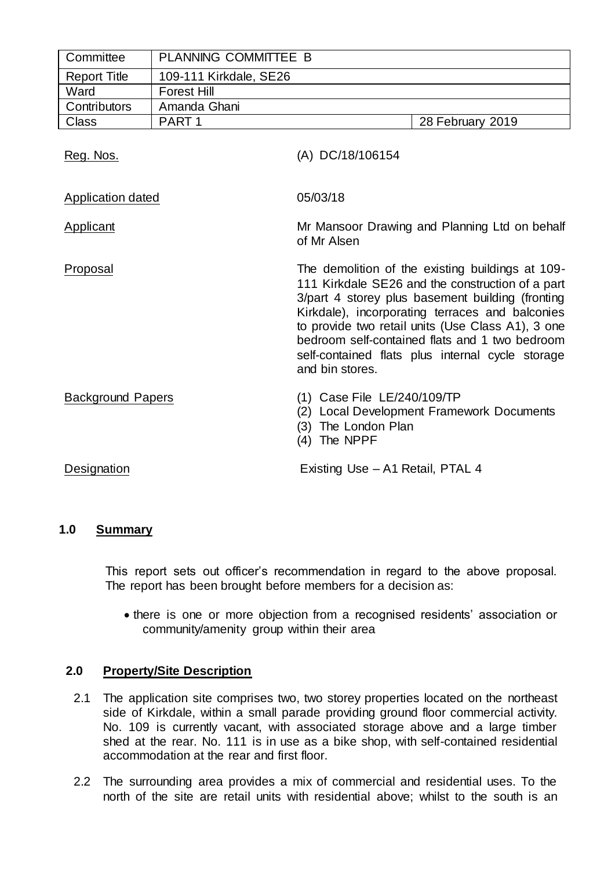| Committee                | PLANNING COMMITTEE B   |                                                                                                                                                                                                                                                                                                                                                                                           |  |  |  |
|--------------------------|------------------------|-------------------------------------------------------------------------------------------------------------------------------------------------------------------------------------------------------------------------------------------------------------------------------------------------------------------------------------------------------------------------------------------|--|--|--|
| <b>Report Title</b>      | 109-111 Kirkdale, SE26 |                                                                                                                                                                                                                                                                                                                                                                                           |  |  |  |
| Ward                     | <b>Forest Hill</b>     |                                                                                                                                                                                                                                                                                                                                                                                           |  |  |  |
| Contributors             | Amanda Ghani           |                                                                                                                                                                                                                                                                                                                                                                                           |  |  |  |
| Class                    | PART <sub>1</sub>      | 28 February 2019                                                                                                                                                                                                                                                                                                                                                                          |  |  |  |
| Reg. Nos.                |                        | (A) DC/18/106154                                                                                                                                                                                                                                                                                                                                                                          |  |  |  |
| <b>Application dated</b> |                        | 05/03/18                                                                                                                                                                                                                                                                                                                                                                                  |  |  |  |
| Applicant                |                        | Mr Mansoor Drawing and Planning Ltd on behalf<br>of Mr Alsen                                                                                                                                                                                                                                                                                                                              |  |  |  |
| Proposal                 |                        | The demolition of the existing buildings at 109-<br>111 Kirkdale SE26 and the construction of a part<br>3/part 4 storey plus basement building (fronting<br>Kirkdale), incorporating terraces and balconies<br>to provide two retail units (Use Class A1), 3 one<br>bedroom self-contained flats and 1 two bedroom<br>self-contained flats plus internal cycle storage<br>and bin stores. |  |  |  |
| <b>Background Papers</b> |                        | (1) Case File LE/240/109/TP<br>(2) Local Development Framework Documents<br>The London Plan<br>(3)<br>The NPPF<br>(4)                                                                                                                                                                                                                                                                     |  |  |  |
| Designation              |                        | Existing Use - A1 Retail, PTAL 4                                                                                                                                                                                                                                                                                                                                                          |  |  |  |

# **1.0 Summary**

This report sets out officer's recommendation in regard to the above proposal. The report has been brought before members for a decision as:

 there is one or more objection from a recognised residents' association or community/amenity group within their area

# **2.0 Property/Site Description**

- 2.1 The application site comprises two, two storey properties located on the northeast side of Kirkdale, within a small parade providing ground floor commercial activity. No. 109 is currently vacant, with associated storage above and a large timber shed at the rear. No. 111 is in use as a bike shop, with self-contained residential accommodation at the rear and first floor.
- 2.2 The surrounding area provides a mix of commercial and residential uses. To the north of the site are retail units with residential above; whilst to the south is an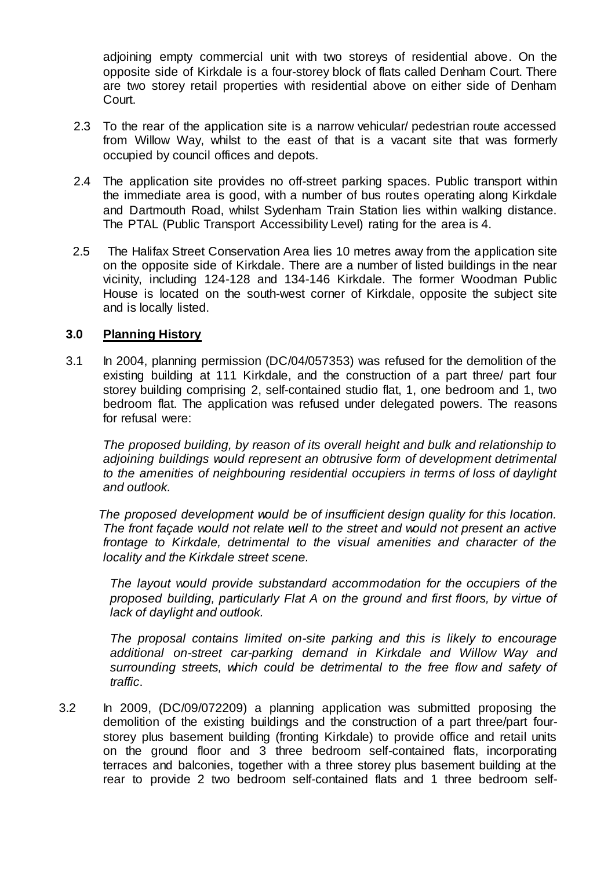adjoining empty commercial unit with two storeys of residential above. On the opposite side of Kirkdale is a four-storey block of flats called Denham Court. There are two storey retail properties with residential above on either side of Denham Court.

- 2.3 To the rear of the application site is a narrow vehicular/ pedestrian route accessed from Willow Way, whilst to the east of that is a vacant site that was formerly occupied by council offices and depots.
- 2.4 The application site provides no off-street parking spaces. Public transport within the immediate area is good, with a number of bus routes operating along Kirkdale and Dartmouth Road, whilst Sydenham Train Station lies within walking distance. The PTAL (Public Transport Accessibility Level) rating for the area is 4.
- 2.5 The Halifax Street Conservation Area lies 10 metres away from the application site on the opposite side of Kirkdale. There are a number of listed buildings in the near vicinity, including 124-128 and 134-146 Kirkdale. The former Woodman Public House is located on the south-west corner of Kirkdale, opposite the subject site and is locally listed.

# **3.0 Planning History**

3.1 In 2004, planning permission (DC/04/057353) was refused for the demolition of the existing building at 111 Kirkdale, and the construction of a part three/ part four storey building comprising 2, self-contained studio flat, 1, one bedroom and 1, two bedroom flat. The application was refused under delegated powers. The reasons for refusal were:

*The proposed building, by reason of its overall height and bulk and relationship to adjoining buildings would represent an obtrusive form of development detrimental to the amenities of neighbouring residential occupiers in terms of loss of daylight and outlook.*

 *The proposed development would be of insufficient design quality for this location. The front façade would not relate well to the street and would not present an active frontage to Kirkdale, detrimental to the visual amenities and character of the locality and the Kirkdale street scene.*

*The layout would provide substandard accommodation for the occupiers of the proposed building, particularly Flat A on the ground and first floors, by virtue of lack of daylight and outlook.*

*The proposal contains limited on-site parking and this is likely to encourage additional on-street car-parking demand in Kirkdale and Willow Way and surrounding streets, which could be detrimental to the free flow and safety of traffic*.

3.2 In 2009, (DC/09/072209) a planning application was submitted proposing the demolition of the existing buildings and the construction of a part three/part fourstorey plus basement building (fronting Kirkdale) to provide office and retail units on the ground floor and 3 three bedroom self-contained flats, incorporating terraces and balconies, together with a three storey plus basement building at the rear to provide 2 two bedroom self-contained flats and 1 three bedroom self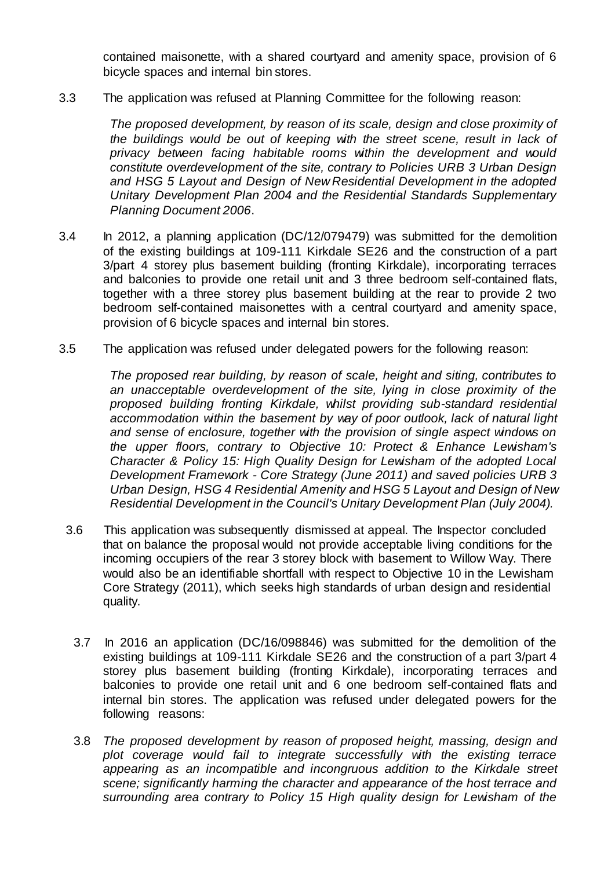contained maisonette, with a shared courtyard and amenity space, provision of 6 bicycle spaces and internal bin stores.

3.3 The application was refused at Planning Committee for the following reason:

*The proposed development, by reason of its scale, design and close proximity of the buildings would be out of keeping with the street scene, result in lack of privacy between facing habitable rooms within the development and would constitute overdevelopment of the site, contrary to Policies URB 3 Urban Design and HSG 5 Layout and Design of New Residential Development in the adopted Unitary Development Plan 2004 and the Residential Standards Supplementary Planning Document 2006*.

- 3.4 In 2012, a planning application (DC/12/079479) was submitted for the demolition of the existing buildings at 109-111 Kirkdale SE26 and the construction of a part 3/part 4 storey plus basement building (fronting Kirkdale), incorporating terraces and balconies to provide one retail unit and 3 three bedroom self-contained flats, together with a three storey plus basement building at the rear to provide 2 two bedroom self-contained maisonettes with a central courtyard and amenity space, provision of 6 bicycle spaces and internal bin stores.
- 3.5 The application was refused under delegated powers for the following reason:

*The proposed rear building, by reason of scale, height and siting, contributes to an unacceptable overdevelopment of the site, lying in close proximity of the proposed building fronting Kirkdale, whilst providing sub-standard residential accommodation within the basement by way of poor outlook, lack of natural light and sense of enclosure, together with the provision of single aspect windows on the upper floors, contrary to Objective 10: Protect & Enhance Lewisham's Character & Policy 15: High Quality Design for Lewisham of the adopted Local Development Framework - Core Strategy (June 2011) and saved policies URB 3 Urban Design, HSG 4 Residential Amenity and HSG 5 Layout and Design of New Residential Development in the Council's Unitary Development Plan (July 2004).*

- 3.6 This application was subsequently dismissed at appeal. The Inspector concluded that on balance the proposal would not provide acceptable living conditions for the incoming occupiers of the rear 3 storey block with basement to Willow Way. There would also be an identifiable shortfall with respect to Objective 10 in the Lewisham Core Strategy (2011), which seeks high standards of urban design and residential quality.
	- 3.7 In 2016 an application (DC/16/098846) was submitted for the demolition of the existing buildings at 109-111 Kirkdale SE26 and the construction of a part 3/part 4 storey plus basement building (fronting Kirkdale), incorporating terraces and balconies to provide one retail unit and 6 one bedroom self-contained flats and internal bin stores. The application was refused under delegated powers for the following reasons:
	- 3.8 *The proposed development by reason of proposed height, massing, design and plot coverage would fail to integrate successfully with the existing terrace appearing as an incompatible and incongruous addition to the Kirkdale street scene; significantly harming the character and appearance of the host terrace and surrounding area contrary to Policy 15 High quality design for Lewisham of the*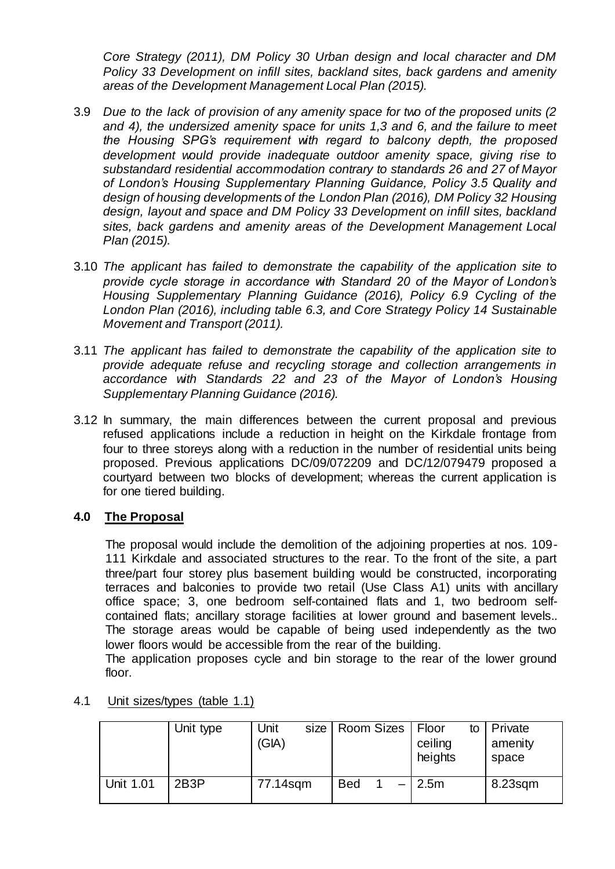*Core Strategy (2011), DM Policy 30 Urban design and local character and DM Policy 33 Development on infill sites, backland sites, back gardens and amenity areas of the Development Management Local Plan (2015).*

- 3.9 *Due to the lack of provision of any amenity space for two of the proposed units (2 and 4), the undersized amenity space for units 1,3 and 6, and the failure to meet the Housing SPG's requirement with regard to balcony depth, the proposed development would provide inadequate outdoor amenity space, giving rise to substandard residential accommodation contrary to standards 26 and 27 of Mayor of London's Housing Supplementary Planning Guidance, Policy 3.5 Quality and design of housing developments of the London Plan (2016), DM Policy 32 Housing design, layout and space and DM Policy 33 Development on infill sites, backland sites, back gardens and amenity areas of the Development Management Local Plan (2015).*
- 3.10 *The applicant has failed to demonstrate the capability of the application site to provide cycle storage in accordance with Standard 20 of the Mayor of London's Housing Supplementary Planning Guidance (2016), Policy 6.9 Cycling of the London Plan (2016), including table 6.3, and Core Strategy Policy 14 Sustainable Movement and Transport (2011).*
- 3.11 *The applicant has failed to demonstrate the capability of the application site to provide adequate refuse and recycling storage and collection arrangements in accordance with Standards 22 and 23 of the Mayor of London's Housing Supplementary Planning Guidance (2016).*
- 3.12 In summary, the main differences between the current proposal and previous refused applications include a reduction in height on the Kirkdale frontage from four to three storeys along with a reduction in the number of residential units being proposed. Previous applications DC/09/072209 and DC/12/079479 proposed a courtyard between two blocks of development; whereas the current application is for one tiered building.

# **4.0 The Proposal**

The proposal would include the demolition of the adjoining properties at nos. 109- 111 Kirkdale and associated structures to the rear. To the front of the site, a part three/part four storey plus basement building would be constructed, incorporating terraces and balconies to provide two retail (Use Class A1) units with ancillary office space; 3, one bedroom self-contained flats and 1, two bedroom selfcontained flats; ancillary storage facilities at lower ground and basement levels.. The storage areas would be capable of being used independently as the two lower floors would be accessible from the rear of the building.

The application proposes cycle and bin storage to the rear of the lower ground floor.

|                  | Unit type         | Unit<br>size  <br>(GIA) | <b>Room Sizes</b> | Floor<br>to<br>ceiling<br>heights | Private<br>amenity<br>space |
|------------------|-------------------|-------------------------|-------------------|-----------------------------------|-----------------------------|
| <b>Unit 1.01</b> | 2B <sub>3</sub> P | 77.14sqm                | <b>Bed</b>        | 2.5m                              | $8.23$ sqm                  |

4.1 Unit sizes/types (table 1.1)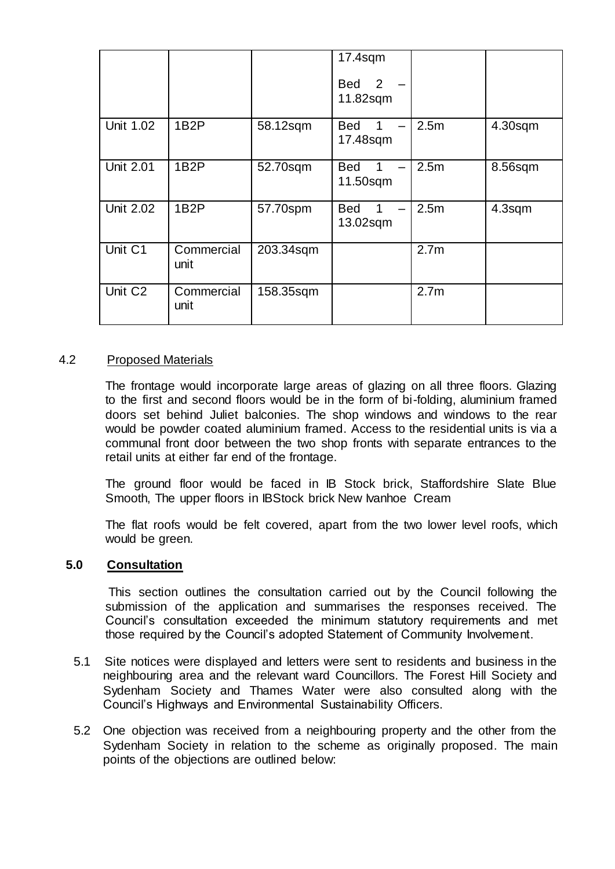|                     |                    |           | $17.4$ sqm<br>2<br>Bed<br>11.82sqm                      |                  |         |
|---------------------|--------------------|-----------|---------------------------------------------------------|------------------|---------|
| Unit 1.02           | 1B <sub>2</sub> P  | 58.12sqm  | <b>Bed</b><br>1<br>17.48sqm                             | 2.5 <sub>m</sub> | 4.30sqm |
| <b>Unit 2.01</b>    | 1B <sub>2</sub> P  | 52.70sqm  | <b>Bed</b><br>1<br>$\overline{\phantom{0}}$<br>11.50sqm | 2.5 <sub>m</sub> | 8.56sqm |
| <b>Unit 2.02</b>    | 1B <sub>2</sub> P  | 57.70spm  | <b>Bed</b><br>1<br>13.02sqm                             | 2.5m             | 4.3sqm  |
| Unit C1             | Commercial<br>unit | 203.34sqm |                                                         | 2.7 <sub>m</sub> |         |
| Unit C <sub>2</sub> | Commercial<br>unit | 158.35sqm |                                                         | 2.7 <sub>m</sub> |         |

# 4.2 Proposed Materials

The frontage would incorporate large areas of glazing on all three floors. Glazing to the first and second floors would be in the form of bi-folding, aluminium framed doors set behind Juliet balconies. The shop windows and windows to the rear would be powder coated aluminium framed. Access to the residential units is via a communal front door between the two shop fronts with separate entrances to the retail units at either far end of the frontage.

The ground floor would be faced in IB Stock brick, Staffordshire Slate Blue Smooth, The upper floors in IBStock brick New Ivanhoe Cream

The flat roofs would be felt covered, apart from the two lower level roofs, which would be green.

# **5.0 Consultation**

This section outlines the consultation carried out by the Council following the submission of the application and summarises the responses received. The Council's consultation exceeded the minimum statutory requirements and met those required by the Council's adopted Statement of Community Involvement.

- 5.1 Site notices were displayed and letters were sent to residents and business in the neighbouring area and the relevant ward Councillors. The Forest Hill Society and Sydenham Society and Thames Water were also consulted along with the Council's Highways and Environmental Sustainability Officers.
- 5.2 One objection was received from a neighbouring property and the other from the Sydenham Society in relation to the scheme as originally proposed. The main points of the objections are outlined below: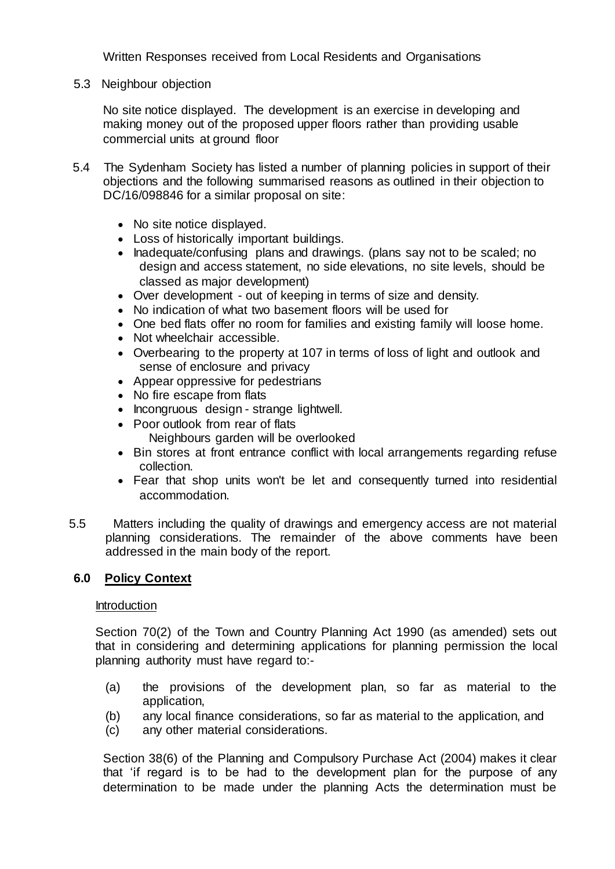Written Responses received from Local Residents and Organisations

5.3 Neighbour objection

No site notice displayed. The development is an exercise in developing and making money out of the proposed upper floors rather than providing usable commercial units at ground floor

- 5.4 The Sydenham Society has listed a number of planning policies in support of their objections and the following summarised reasons as outlined in their objection to DC/16/098846 for a similar proposal on site:
	- No site notice displayed.
	- Loss of historically important buildings.
	- Inadequate/confusing plans and drawings. (plans say not to be scaled; no design and access statement, no side elevations, no site levels, should be classed as major development)
	- Over development out of keeping in terms of size and density.
	- No indication of what two basement floors will be used for
	- One bed flats offer no room for families and existing family will loose home.
	- Not wheelchair accessible.
	- Overbearing to the property at 107 in terms of loss of light and outlook and sense of enclosure and privacy
	- Appear oppressive for pedestrians
	- No fire escape from flats
	- Incongruous design strange lightwell.
	- Poor outlook from rear of flats Neighbours garden will be overlooked
	- Bin stores at front entrance conflict with local arrangements regarding refuse collection.
	- Fear that shop units won't be let and consequently turned into residential accommodation.
- 5.5 Matters including the quality of drawings and emergency access are not material planning considerations. The remainder of the above comments have been addressed in the main body of the report.

# **6.0 Policy Context**

### Introduction

Section 70(2) of the Town and Country Planning Act 1990 (as amended) sets out that in considering and determining applications for planning permission the local planning authority must have regard to:-

- (a) the provisions of the development plan, so far as material to the application,
- (b) any local finance considerations, so far as material to the application, and
- (c) any other material considerations.

Section 38(6) of the Planning and Compulsory Purchase Act (2004) makes it clear that 'if regard is to be had to the development plan for the purpose of any determination to be made under the planning Acts the determination must be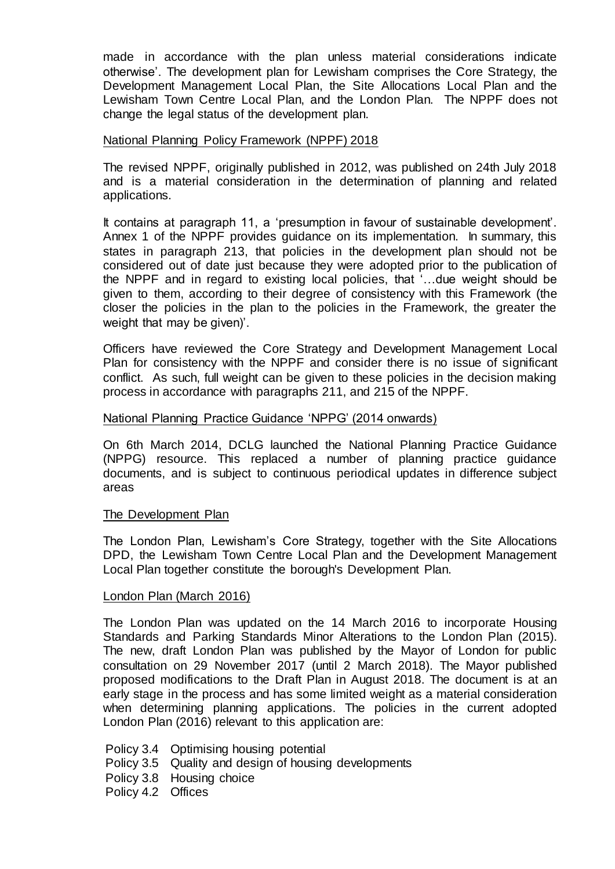made in accordance with the plan unless material considerations indicate otherwise'. The development plan for Lewisham comprises the Core Strategy, the Development Management Local Plan, the Site Allocations Local Plan and the Lewisham Town Centre Local Plan, and the London Plan. The NPPF does not change the legal status of the development plan.

### National Planning Policy Framework (NPPF) 2018

The revised NPPF, originally published in 2012, was published on 24th July 2018 and is a material consideration in the determination of planning and related applications.

It contains at paragraph 11, a 'presumption in favour of sustainable development'. Annex 1 of the NPPF provides guidance on its implementation. In summary, this states in paragraph 213, that policies in the development plan should not be considered out of date just because they were adopted prior to the publication of the NPPF and in regard to existing local policies, that '…due weight should be given to them, according to their degree of consistency with this Framework (the closer the policies in the plan to the policies in the Framework, the greater the weight that may be given)'.

Officers have reviewed the Core Strategy and Development Management Local Plan for consistency with the NPPF and consider there is no issue of significant conflict. As such, full weight can be given to these policies in the decision making process in accordance with paragraphs 211, and 215 of the NPPF.

### National Planning Practice Guidance 'NPPG' (2014 onwards)

On 6th March 2014, DCLG launched the National Planning Practice Guidance (NPPG) resource. This replaced a number of planning practice guidance documents, and is subject to continuous periodical updates in difference subject areas

### The Development Plan

The London Plan, Lewisham's Core Strategy, together with the Site Allocations DPD, the Lewisham Town Centre Local Plan and the Development Management Local Plan together constitute the borough's Development Plan.

### London Plan (March 2016)

The London Plan was updated on the 14 March 2016 to incorporate Housing Standards and Parking Standards Minor Alterations to the London Plan (2015). The new, draft London Plan was published by the Mayor of London for public consultation on 29 November 2017 (until 2 March 2018). The Mayor published proposed modifications to the Draft Plan in August 2018. The document is at an early stage in the process and has some limited weight as a material consideration when determining planning applications. The policies in the current adopted London Plan (2016) relevant to this application are:

- Policy 3.4 Optimising housing potential
- Policy 3.5 Quality and design of housing developments
- Policy 3.8 Housing choice
- Policy 4.2 Offices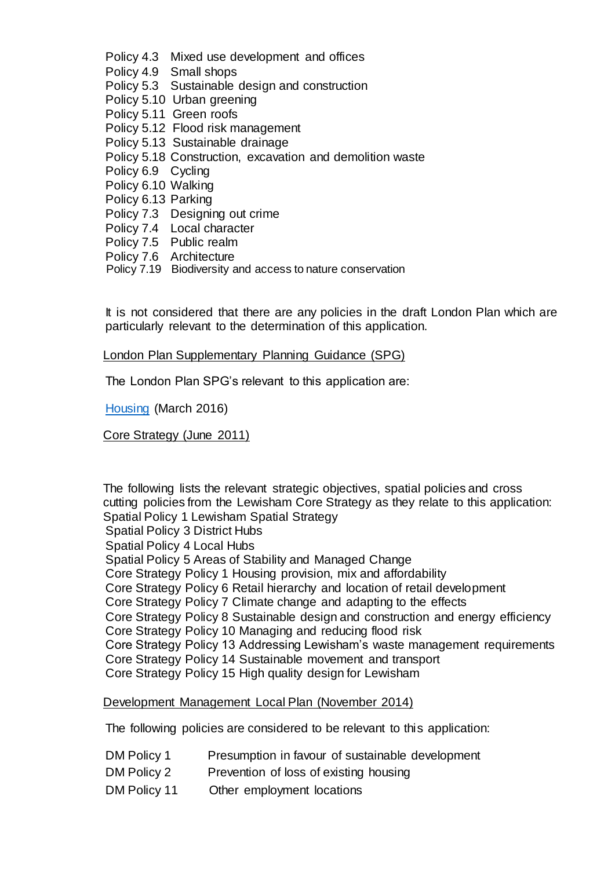- Policy 4.3 Mixed use development and offices
- Policy 4.9 Small shops
- Policy 5.3 Sustainable design and construction
- Policy 5.10 Urban greening
- Policy 5.11 Green roofs
- Policy 5.12 Flood risk management
- Policy 5.13 Sustainable drainage
- Policy 5.18 Construction, excavation and demolition waste
- Policy 6.9 Cycling
- Policy 6.10 Walking
- Policy 6.13 Parking
- Policy 7.3 Designing out crime
- Policy 7.4 Local character
- Policy 7.5 Public realm
- Policy 7.6 Architecture
- Policy 7.19 Biodiversity and access to nature conservation

It is not considered that there are any policies in the draft London Plan which are particularly relevant to the determination of this application.

London Plan Supplementary Planning Guidance (SPG)

The London Plan SPG's relevant to this application are:

[Housing](https://www.london.gov.uk/sites/default/files/housing_spg_revised.pdf) (March 2016)

Core Strategy (June 2011)

The following lists the relevant strategic objectives, spatial policies and cross cutting policies from the Lewisham Core Strategy as they relate to this application: Spatial Policy 1 Lewisham Spatial Strategy

Spatial Policy 3 District Hubs

- Spatial Policy 4 Local Hubs
- Spatial Policy 5 Areas of Stability and Managed Change
- Core Strategy Policy 1 Housing provision, mix and affordability
- Core Strategy Policy 6 Retail hierarchy and location of retail development
- Core Strategy Policy 7 Climate change and adapting to the effects

Core Strategy Policy 8 Sustainable design and construction and energy efficiency

- Core Strategy Policy 10 Managing and reducing flood risk
- Core Strategy Policy 13 Addressing Lewisham's waste management requirements

Core Strategy Policy 14 Sustainable movement and transport

Core Strategy Policy 15 High quality design for Lewisham

### Development Management Local Plan (November 2014)

The following policies are considered to be relevant to this application:

- DM Policy 1 Presumption in favour of sustainable development
- DM Policy 2 Prevention of loss of existing housing
- DM Policy 11 Other employment locations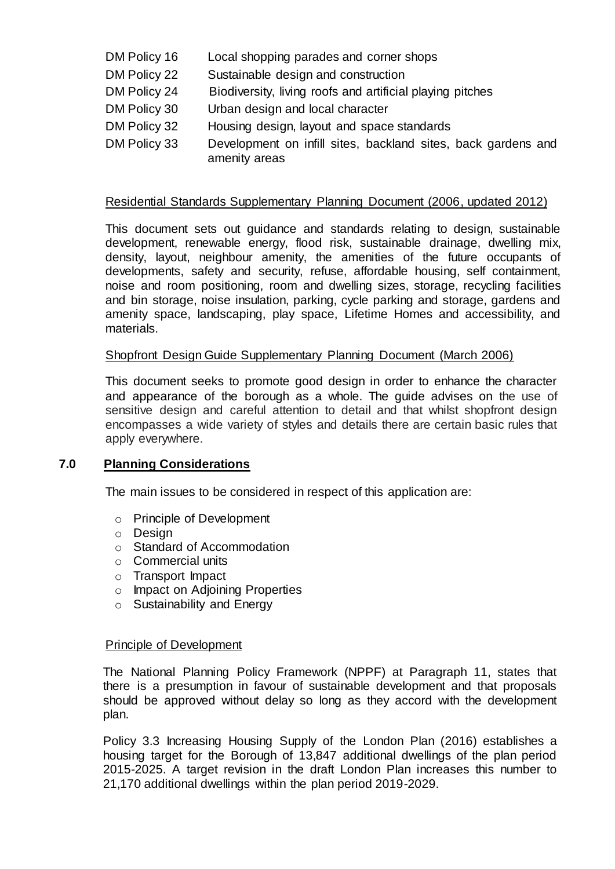- DM Policy 16 Local shopping parades and corner shops
- DM Policy 22 Sustainable design and construction
- DM Policy 24 Biodiversity, living roofs and artificial playing pitches
- DM Policy 30 Urban design and local character
- DM Policy 32 Housing design, layout and space standards
- DM Policy 33 Development on infill sites, backland sites, back gardens and amenity areas

# Residential Standards Supplementary Planning Document (2006, updated 2012)

This document sets out guidance and standards relating to design, sustainable development, renewable energy, flood risk, sustainable drainage, dwelling mix, density, layout, neighbour amenity, the amenities of the future occupants of developments, safety and security, refuse, affordable housing, self containment, noise and room positioning, room and dwelling sizes, storage, recycling facilities and bin storage, noise insulation, parking, cycle parking and storage, gardens and amenity space, landscaping, play space, Lifetime Homes and accessibility, and materials.

# Shopfront Design Guide Supplementary Planning Document (March 2006)

This document seeks to promote good design in order to enhance the character and appearance of the borough as a whole. The guide advises on the use of sensitive design and careful attention to detail and that whilst shopfront design encompasses a wide variety of styles and details there are certain basic rules that apply everywhere.

# **7.0 Planning Considerations**

The main issues to be considered in respect of this application are:

- o Principle of Development
- o Design
- o Standard of Accommodation
- o Commercial units
- o Transport Impact
- o Impact on Adjoining Properties
- o Sustainability and Energy

# Principle of Development

The National Planning Policy Framework (NPPF) at Paragraph 11, states that there is a presumption in favour of sustainable development and that proposals should be approved without delay so long as they accord with the development plan.

Policy 3.3 Increasing Housing Supply of the London Plan (2016) establishes a housing target for the Borough of 13,847 additional dwellings of the plan period 2015-2025. A target revision in the draft London Plan increases this number to 21,170 additional dwellings within the plan period 2019-2029.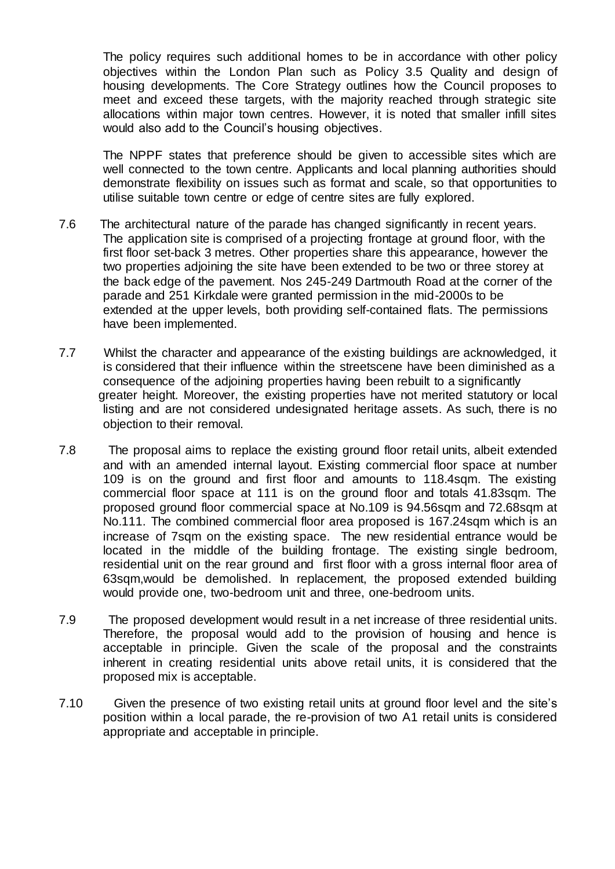The policy requires such additional homes to be in accordance with other policy objectives within the London Plan such as Policy 3.5 Quality and design of housing developments. The Core Strategy outlines how the Council proposes to meet and exceed these targets, with the majority reached through strategic site allocations within major town centres. However, it is noted that smaller infill sites would also add to the Council's housing objectives.

The NPPF states that preference should be given to accessible sites which are well connected to the town centre. Applicants and local planning authorities should demonstrate flexibility on issues such as format and scale, so that opportunities to utilise suitable town centre or edge of centre sites are fully explored.

- 7.6 The architectural nature of the parade has changed significantly in recent years. The application site is comprised of a projecting frontage at ground floor, with the first floor set-back 3 metres. Other properties share this appearance, however the two properties adjoining the site have been extended to be two or three storey at the back edge of the pavement. Nos 245-249 Dartmouth Road at the corner of the parade and 251 Kirkdale were granted permission in the mid-2000s to be extended at the upper levels, both providing self-contained flats. The permissions have been implemented.
- 7.7 Whilst the character and appearance of the existing buildings are acknowledged, it is considered that their influence within the streetscene have been diminished as a consequence of the adjoining properties having been rebuilt to a significantly greater height. Moreover, the existing properties have not merited statutory or local listing and are not considered undesignated heritage assets. As such, there is no objection to their removal.
- 7.8 The proposal aims to replace the existing ground floor retail units, albeit extended and with an amended internal layout. Existing commercial floor space at number 109 is on the ground and first floor and amounts to 118.4sqm. The existing commercial floor space at 111 is on the ground floor and totals 41.83sqm. The proposed ground floor commercial space at No.109 is 94.56sqm and 72.68sqm at No.111. The combined commercial floor area proposed is 167.24sqm which is an increase of 7sqm on the existing space. The new residential entrance would be located in the middle of the building frontage. The existing single bedroom, residential unit on the rear ground and first floor with a gross internal floor area of 63sqm,would be demolished. In replacement, the proposed extended building would provide one, two-bedroom unit and three, one-bedroom units.
- 7.9 The proposed development would result in a net increase of three residential units. Therefore, the proposal would add to the provision of housing and hence is acceptable in principle. Given the scale of the proposal and the constraints inherent in creating residential units above retail units, it is considered that the proposed mix is acceptable.
- 7.10 Given the presence of two existing retail units at ground floor level and the site's position within a local parade, the re-provision of two A1 retail units is considered appropriate and acceptable in principle.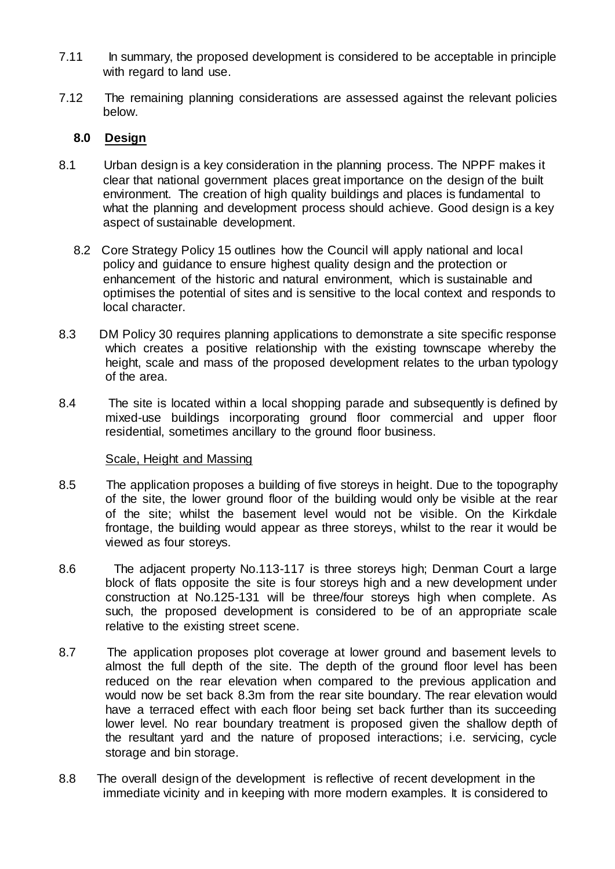- 7.11 In summary, the proposed development is considered to be acceptable in principle with regard to land use.
- 7.12 The remaining planning considerations are assessed against the relevant policies below.

# **8.0 Design**

- 8.1 Urban design is a key consideration in the planning process. The NPPF makes it clear that national government places great importance on the design of the built environment. The creation of high quality buildings and places is fundamental to what the planning and development process should achieve. Good design is a key aspect of sustainable development.
	- 8.2 Core Strategy Policy 15 outlines how the Council will apply national and local policy and guidance to ensure highest quality design and the protection or enhancement of the historic and natural environment, which is sustainable and optimises the potential of sites and is sensitive to the local context and responds to local character.
- 8.3 DM Policy 30 requires planning applications to demonstrate a site specific response which creates a positive relationship with the existing townscape whereby the height, scale and mass of the proposed development relates to the urban typology of the area.
- 8.4 The site is located within a local shopping parade and subsequently is defined by mixed-use buildings incorporating ground floor commercial and upper floor residential, sometimes ancillary to the ground floor business.

# Scale, Height and Massing

- 8.5 The application proposes a building of five storeys in height. Due to the topography of the site, the lower ground floor of the building would only be visible at the rear of the site; whilst the basement level would not be visible. On the Kirkdale frontage, the building would appear as three storeys, whilst to the rear it would be viewed as four storeys.
- 8.6 The adjacent property No.113-117 is three storeys high; Denman Court a large block of flats opposite the site is four storeys high and a new development under construction at No.125-131 will be three/four storeys high when complete. As such, the proposed development is considered to be of an appropriate scale relative to the existing street scene.
- 8.7 The application proposes plot coverage at lower ground and basement levels to almost the full depth of the site. The depth of the ground floor level has been reduced on the rear elevation when compared to the previous application and would now be set back 8.3m from the rear site boundary. The rear elevation would have a terraced effect with each floor being set back further than its succeeding lower level. No rear boundary treatment is proposed given the shallow depth of the resultant yard and the nature of proposed interactions; i.e. servicing, cycle storage and bin storage.
- 8.8 The overall design of the development is reflective of recent development in the immediate vicinity and in keeping with more modern examples. It is considered to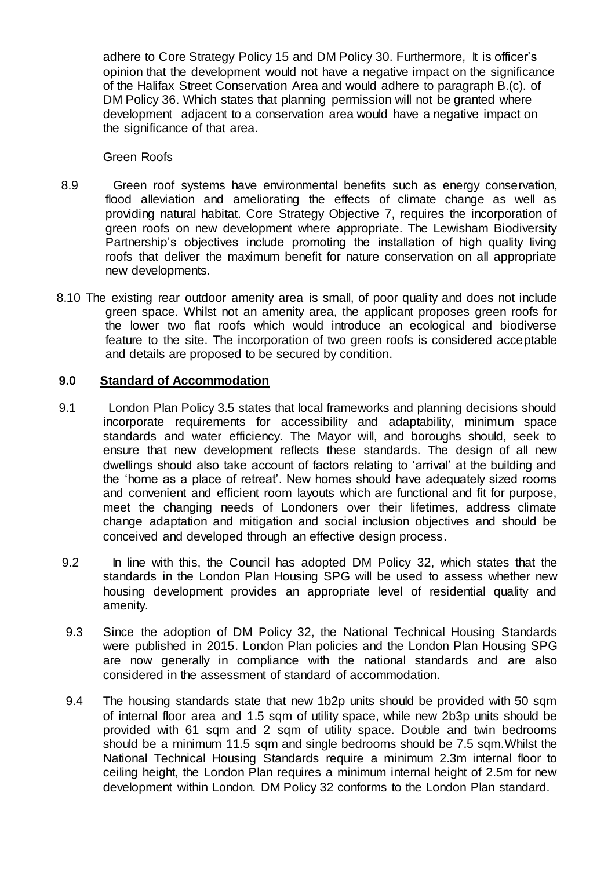adhere to Core Strategy Policy 15 and DM Policy 30. Furthermore, It is officer's opinion that the development would not have a negative impact on the significance of the Halifax Street Conservation Area and would adhere to paragraph B.(c). of DM Policy 36. Which states that planning permission will not be granted where development adjacent to a conservation area would have a negative impact on the significance of that area.

### Green Roofs

- 8.9 Green roof systems have environmental benefits such as energy conservation, flood alleviation and ameliorating the effects of climate change as well as providing natural habitat. Core Strategy Objective 7, requires the incorporation of green roofs on new development where appropriate. The Lewisham Biodiversity Partnership's objectives include promoting the installation of high quality living roofs that deliver the maximum benefit for nature conservation on all appropriate new developments.
- 8.10 The existing rear outdoor amenity area is small, of poor quality and does not include green space. Whilst not an amenity area, the applicant proposes green roofs for the lower two flat roofs which would introduce an ecological and biodiverse feature to the site. The incorporation of two green roofs is considered acceptable and details are proposed to be secured by condition.

# **9.0 Standard of Accommodation**

- 9.1 London Plan Policy 3.5 states that local frameworks and planning decisions should incorporate requirements for accessibility and adaptability, minimum space standards and water efficiency. The Mayor will, and boroughs should, seek to ensure that new development reflects these standards. The design of all new dwellings should also take account of factors relating to 'arrival' at the building and the 'home as a place of retreat'. New homes should have adequately sized rooms and convenient and efficient room layouts which are functional and fit for purpose, meet the changing needs of Londoners over their lifetimes, address climate change adaptation and mitigation and social inclusion objectives and should be conceived and developed through an effective design process.
- 9.2 In line with this, the Council has adopted DM Policy 32, which states that the standards in the London Plan Housing SPG will be used to assess whether new housing development provides an appropriate level of residential quality and amenity.
- 9.3 Since the adoption of DM Policy 32, the National Technical Housing Standards were published in 2015. London Plan policies and the London Plan Housing SPG are now generally in compliance with the national standards and are also considered in the assessment of standard of accommodation.
- 9.4 The housing standards state that new 1b2p units should be provided with 50 sqm of internal floor area and 1.5 sqm of utility space, while new 2b3p units should be provided with 61 sqm and 2 sqm of utility space. Double and twin bedrooms should be a minimum 11.5 sqm and single bedrooms should be 7.5 sqm.Whilst the National Technical Housing Standards require a minimum 2.3m internal floor to ceiling height, the London Plan requires a minimum internal height of 2.5m for new development within London. DM Policy 32 conforms to the London Plan standard.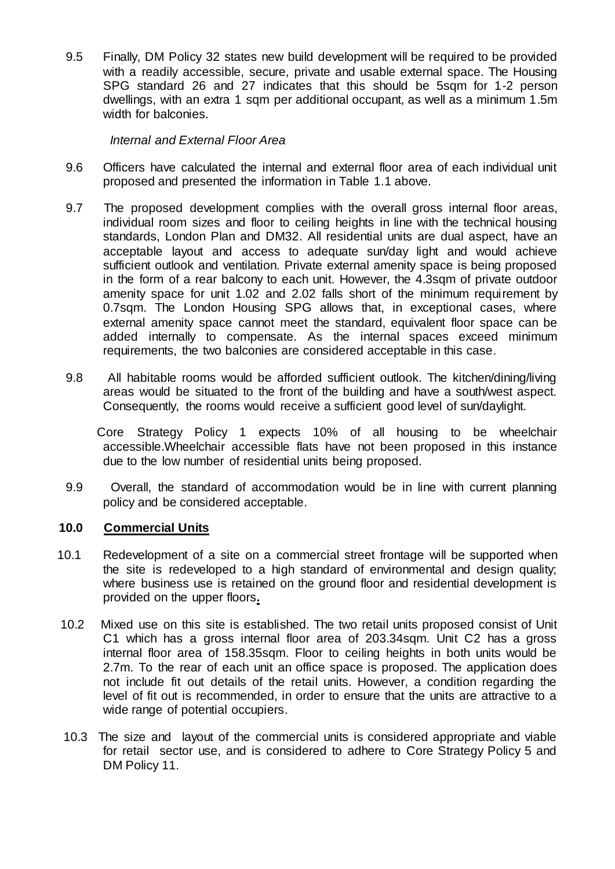9.5 Finally, DM Policy 32 states new build development will be required to be provided with a readily accessible, secure, private and usable external space. The Housing SPG standard 26 and 27 indicates that this should be 5sqm for 1-2 person dwellings, with an extra 1 sqm per additional occupant, as well as a minimum 1.5m width for balconies.

### *Internal and External Floor Area*

- 9.6 Officers have calculated the internal and external floor area of each individual unit proposed and presented the information in Table 1.1 above.
- 9.7 The proposed development complies with the overall gross internal floor areas, individual room sizes and floor to ceiling heights in line with the technical housing standards, London Plan and DM32. All residential units are dual aspect, have an acceptable layout and access to adequate sun/day light and would achieve sufficient outlook and ventilation. Private external amenity space is being proposed in the form of a rear balcony to each unit. However, the 4.3sqm of private outdoor amenity space for unit 1.02 and 2.02 falls short of the minimum requirement by 0.7sqm. The London Housing SPG allows that, in exceptional cases, where external amenity space cannot meet the standard, equivalent floor space can be added internally to compensate. As the internal spaces exceed minimum requirements, the two balconies are considered acceptable in this case.
- 9.8 All habitable rooms would be afforded sufficient outlook. The kitchen/dining/living areas would be situated to the front of the building and have a south/west aspect. Consequently, the rooms would receive a sufficient good level of sun/daylight.

 Core Strategy Policy 1 expects 10% of all housing to be wheelchair accessible.Wheelchair accessible flats have not been proposed in this instance due to the low number of residential units being proposed.

9.9 Overall, the standard of accommodation would be in line with current planning policy and be considered acceptable.

# **10.0 Commercial Units**

- 10.1 Redevelopment of a site on a commercial street frontage will be supported when the site is redeveloped to a high standard of environmental and design quality; where business use is retained on the ground floor and residential development is provided on the upper floors**.**
- 10.2 Mixed use on this site is established. The two retail units proposed consist of Unit C1 which has a gross internal floor area of 203.34sqm. Unit C2 has a gross internal floor area of 158.35sqm. Floor to ceiling heights in both units would be 2.7m. To the rear of each unit an office space is proposed. The application does not include fit out details of the retail units. However, a condition regarding the level of fit out is recommended, in order to ensure that the units are attractive to a wide range of potential occupiers.
- 10.3 The size and layout of the commercial units is considered appropriate and viable for retail sector use, and is considered to adhere to Core Strategy Policy 5 and DM Policy 11.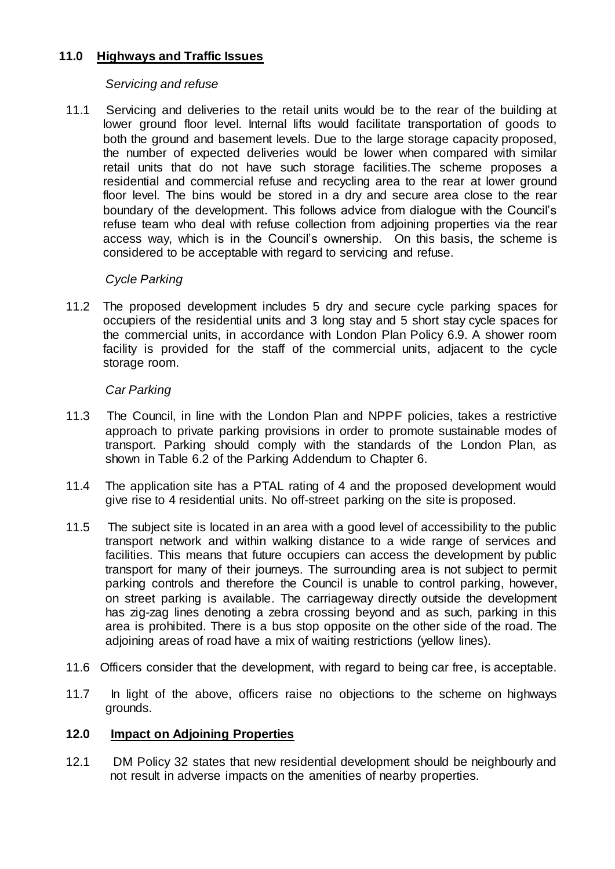# **11.0 Highways and Traffic Issues**

# *Servicing and refuse*

11.1 Servicing and deliveries to the retail units would be to the rear of the building at lower ground floor level. Internal lifts would facilitate transportation of goods to both the ground and basement levels. Due to the large storage capacity proposed, the number of expected deliveries would be lower when compared with similar retail units that do not have such storage facilities.The scheme proposes a residential and commercial refuse and recycling area to the rear at lower ground floor level. The bins would be stored in a dry and secure area close to the rear boundary of the development. This follows advice from dialogue with the Council's refuse team who deal with refuse collection from adjoining properties via the rear access way, which is in the Council's ownership. On this basis, the scheme is considered to be acceptable with regard to servicing and refuse.

# *Cycle Parking*

11.2 The proposed development includes 5 dry and secure cycle parking spaces for occupiers of the residential units and 3 long stay and 5 short stay cycle spaces for the commercial units, in accordance with London Plan Policy 6.9. A shower room facility is provided for the staff of the commercial units, adjacent to the cycle storage room.

# *Car Parking*

- 11.3 The Council, in line with the London Plan and NPPF policies, takes a restrictive approach to private parking provisions in order to promote sustainable modes of transport. Parking should comply with the standards of the London Plan, as shown in Table 6.2 of the Parking Addendum to Chapter 6.
- 11.4 The application site has a PTAL rating of 4 and the proposed development would give rise to 4 residential units. No off-street parking on the site is proposed.
- 11.5 The subject site is located in an area with a good level of accessibility to the public transport network and within walking distance to a wide range of services and facilities. This means that future occupiers can access the development by public transport for many of their journeys. The surrounding area is not subject to permit parking controls and therefore the Council is unable to control parking, however, on street parking is available. The carriageway directly outside the development has zig-zag lines denoting a zebra crossing beyond and as such, parking in this area is prohibited. There is a bus stop opposite on the other side of the road. The adjoining areas of road have a mix of waiting restrictions (yellow lines).
- 11.6 Officers consider that the development, with regard to being car free, is acceptable.
- 11.7 In light of the above, officers raise no objections to the scheme on highways grounds.

# **12.0 Impact on Adjoining Properties**

12.1 DM Policy 32 states that new residential development should be neighbourly and not result in adverse impacts on the amenities of nearby properties.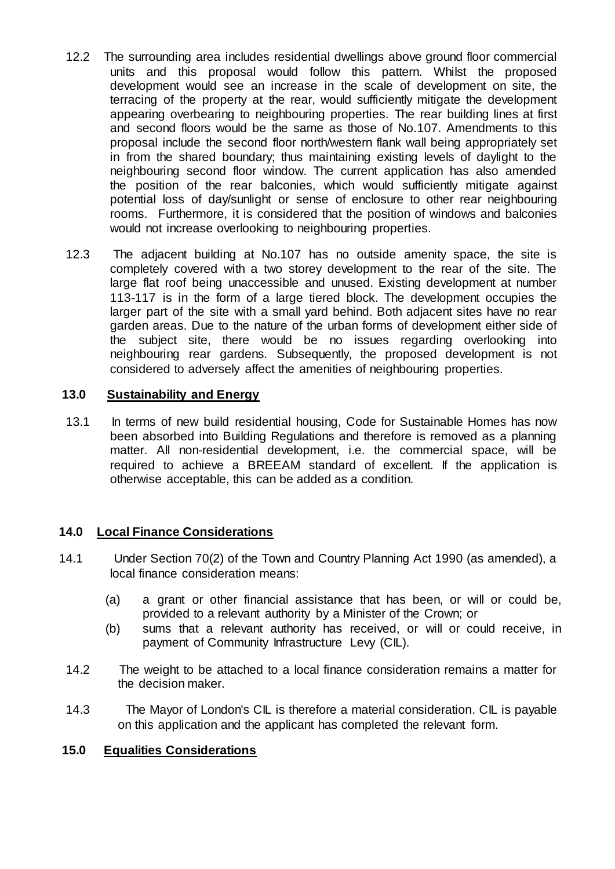- 12.2 The surrounding area includes residential dwellings above ground floor commercial units and this proposal would follow this pattern. Whilst the proposed development would see an increase in the scale of development on site, the terracing of the property at the rear, would sufficiently mitigate the development appearing overbearing to neighbouring properties. The rear building lines at first and second floors would be the same as those of No.107. Amendments to this proposal include the second floor north/western flank wall being appropriately set in from the shared boundary; thus maintaining existing levels of daylight to the neighbouring second floor window. The current application has also amended the position of the rear balconies, which would sufficiently mitigate against potential loss of day/sunlight or sense of enclosure to other rear neighbouring rooms. Furthermore, it is considered that the position of windows and balconies would not increase overlooking to neighbouring properties.
- 12.3 The adjacent building at No.107 has no outside amenity space, the site is completely covered with a two storey development to the rear of the site. The large flat roof being unaccessible and unused. Existing development at number 113-117 is in the form of a large tiered block. The development occupies the larger part of the site with a small yard behind. Both adjacent sites have no rear garden areas. Due to the nature of the urban forms of development either side of the subject site, there would be no issues regarding overlooking into neighbouring rear gardens. Subsequently, the proposed development is not considered to adversely affect the amenities of neighbouring properties.

# **13.0 Sustainability and Energy**

13.1 In terms of new build residential housing, Code for Sustainable Homes has now been absorbed into Building Regulations and therefore is removed as a planning matter. All non-residential development, i.e. the commercial space, will be required to achieve a BREEAM standard of excellent. If the application is otherwise acceptable, this can be added as a condition.

# **14.0 Local Finance Considerations**

- 14.1 Under Section 70(2) of the Town and Country Planning Act 1990 (as amended), a local finance consideration means:
	- (a) a grant or other financial assistance that has been, or will or could be, provided to a relevant authority by a Minister of the Crown; or
	- (b) sums that a relevant authority has received, or will or could receive, in payment of Community Infrastructure Levy (CIL).
- 14.2 The weight to be attached to a local finance consideration remains a matter for the decision maker.
- 14.3 The Mayor of London's CIL is therefore a material consideration. CIL is payable on this application and the applicant has completed the relevant form.

# **15.0 Equalities Considerations**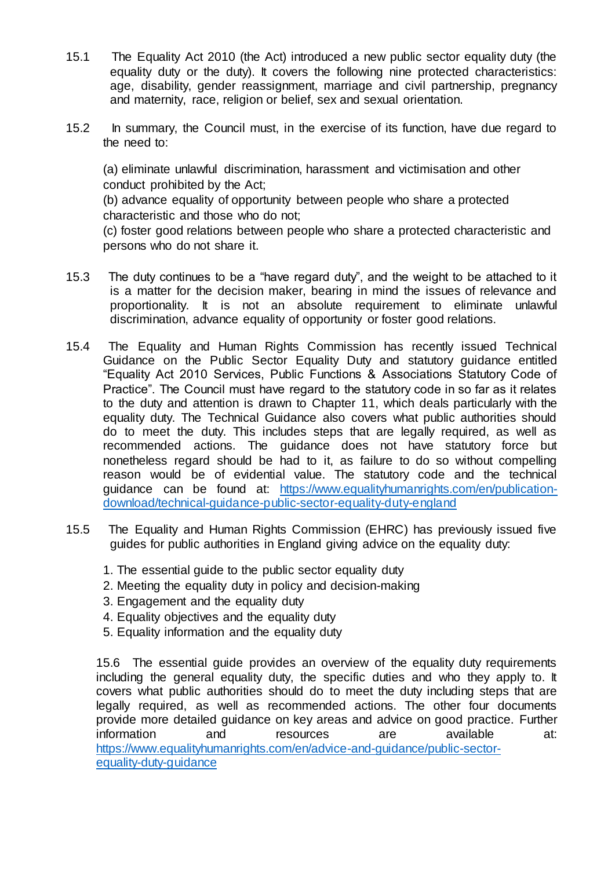- 15.1 The Equality Act 2010 (the Act) introduced a new public sector equality duty (the equality duty or the duty). It covers the following nine protected characteristics: age, disability, gender reassignment, marriage and civil partnership, pregnancy and maternity, race, religion or belief, sex and sexual orientation.
- 15.2 In summary, the Council must, in the exercise of its function, have due regard to the need to:

(a) eliminate unlawful discrimination, harassment and victimisation and other conduct prohibited by the Act;

(b) advance equality of opportunity between people who share a protected characteristic and those who do not;

(c) foster good relations between people who share a protected characteristic and persons who do not share it.

- 15.3 The duty continues to be a "have regard duty", and the weight to be attached to it is a matter for the decision maker, bearing in mind the issues of relevance and proportionality. It is not an absolute requirement to eliminate unlawful discrimination, advance equality of opportunity or foster good relations.
- 15.4 The Equality and Human Rights Commission has recently issued Technical Guidance on the Public Sector Equality Duty and statutory guidance entitled "Equality Act 2010 Services, Public Functions & Associations Statutory Code of Practice". The Council must have regard to the statutory code in so far as it relates to the duty and attention is drawn to Chapter 11, which deals particularly with the equality duty. The Technical Guidance also covers what public authorities should do to meet the duty. This includes steps that are legally required, as well as recommended actions. The guidance does not have statutory force but nonetheless regard should be had to it, as failure to do so without compelling reason would be of evidential value. The statutory code and the technical guidance can be found a[t: https://www.equalityhumanrights.com/en/publication](https://www.equalityhumanrights.com/en/publication-download/technical-guidance-public-sector-equality-duty-england)[download/technical-guidance-public-sector-equality-duty-england](https://www.equalityhumanrights.com/en/publication-download/technical-guidance-public-sector-equality-duty-england)
- 15.5 The Equality and Human Rights Commission (EHRC) has previously issued five guides for public authorities in England giving advice on the equality duty:
	- 1. The essential guide to the public sector equality duty
	- 2. Meeting the equality duty in policy and decision-making
	- 3. Engagement and the equality duty
	- 4. Equality objectives and the equality duty
	- 5. Equality information and the equality duty

15.6 The essential guide provides an overview of the equality duty requirements including the general equality duty, the specific duties and who they apply to. It covers what public authorities should do to meet the duty including steps that are legally required, as well as recommended actions. The other four documents provide more detailed guidance on key areas and advice on good practice. Further information and resources are available at: [https://www.equalityhumanrights.com/en/advice-and-guidance/public-sector](https://www.equalityhumanrights.com/en/advice-and-guidance/public-sector-equality-duty-guidance)[equality-duty-guidance](https://www.equalityhumanrights.com/en/advice-and-guidance/public-sector-equality-duty-guidance)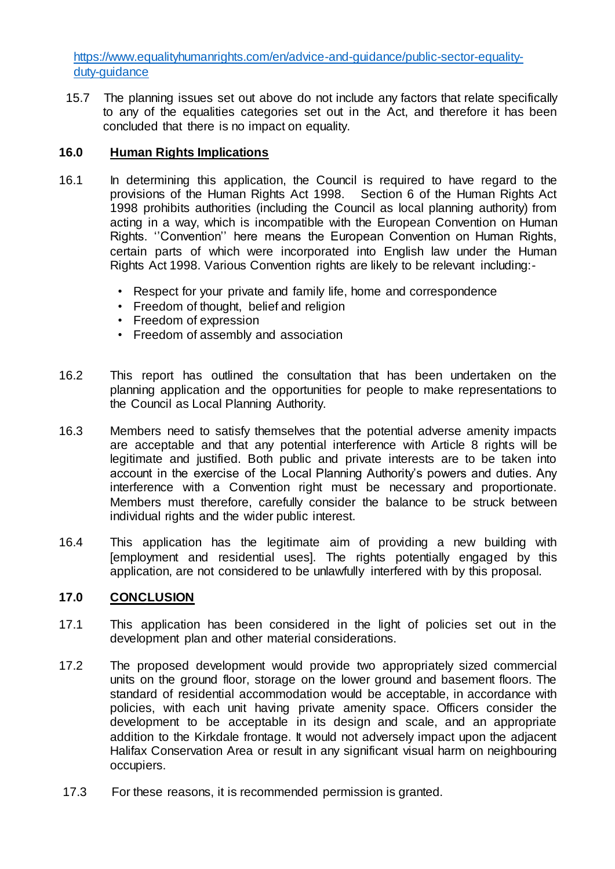[https://www.equalityhumanrights.com/en/advice-and-guidance/public-sector-equality](https://www.equalityhumanrights.com/en/advice-and-guidance/public-sector-equality-duty-guidance)[duty-guidance](https://www.equalityhumanrights.com/en/advice-and-guidance/public-sector-equality-duty-guidance)

15.7 The planning issues set out above do not include any factors that relate specifically to any of the equalities categories set out in the Act, and therefore it has been concluded that there is no impact on equality.

# **16.0 Human Rights Implications**

- 16.1 In determining this application, the Council is required to have regard to the provisions of the Human Rights Act 1998. Section 6 of the Human Rights Act 1998 prohibits authorities (including the Council as local planning authority) from acting in a way, which is incompatible with the European Convention on Human Rights. ''Convention'' here means the European Convention on Human Rights, certain parts of which were incorporated into English law under the Human Rights Act 1998. Various Convention rights are likely to be relevant including:-
	- Respect for your private and family life, home and correspondence
	- Freedom of thought, belief and religion
	- Freedom of expression
	- Freedom of assembly and association
- 16.2 This report has outlined the consultation that has been undertaken on the planning application and the opportunities for people to make representations to the Council as Local Planning Authority.
- 16.3 Members need to satisfy themselves that the potential adverse amenity impacts are acceptable and that any potential interference with Article 8 rights will be legitimate and justified. Both public and private interests are to be taken into account in the exercise of the Local Planning Authority's powers and duties. Any interference with a Convention right must be necessary and proportionate. Members must therefore, carefully consider the balance to be struck between individual rights and the wider public interest.
- 16.4 This application has the legitimate aim of providing a new building with [employment and residential uses]. The rights potentially engaged by this application, are not considered to be unlawfully interfered with by this proposal.

# **17.0 CONCLUSION**

- 17.1 This application has been considered in the light of policies set out in the development plan and other material considerations.
- 17.2 The proposed development would provide two appropriately sized commercial units on the ground floor, storage on the lower ground and basement floors. The standard of residential accommodation would be acceptable, in accordance with policies, with each unit having private amenity space. Officers consider the development to be acceptable in its design and scale, and an appropriate addition to the Kirkdale frontage. It would not adversely impact upon the adjacent Halifax Conservation Area or result in any significant visual harm on neighbouring occupiers.
- 17.3 For these reasons, it is recommended permission is granted.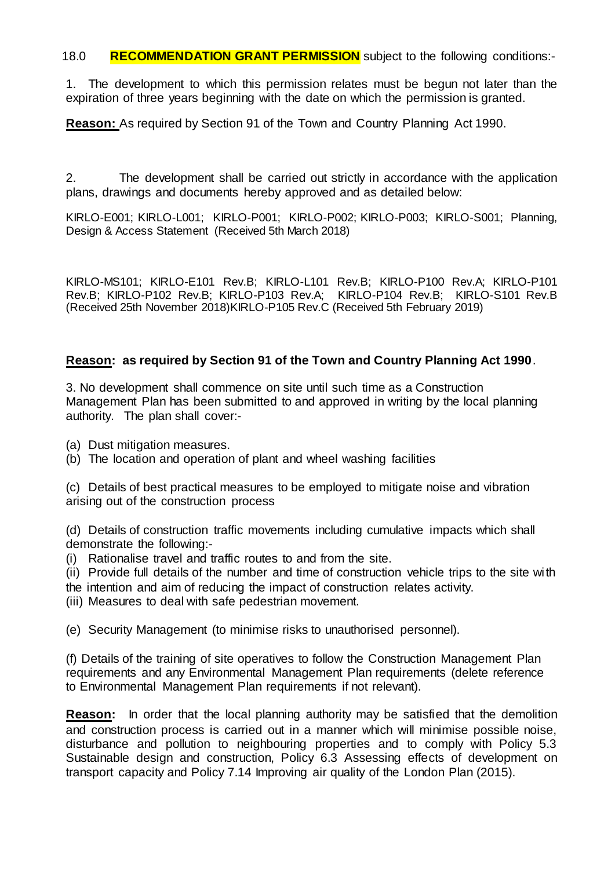18.0 **RECOMMENDATION GRANT PERMISSION** subject to the following conditions:-

1. The development to which this permission relates must be begun not later than the expiration of three years beginning with the date on which the permission is granted.

**Reason:** As required by Section 91 of the Town and Country Planning Act 1990.

2. The development shall be carried out strictly in accordance with the application plans, drawings and documents hereby approved and as detailed below:

KIRLO-E001; KIRLO-L001; KIRLO-P001; KIRLO-P002; KIRLO-P003; KIRLO-S001; Planning, Design & Access Statement (Received 5th March 2018)

KIRLO-MS101; KIRLO-E101 Rev.B; KIRLO-L101 Rev.B; KIRLO-P100 Rev.A; KIRLO-P101 Rev.B; KIRLO-P102 Rev.B; KIRLO-P103 Rev.A; KIRLO-P104 Rev.B; KIRLO-S101 Rev.B (Received 25th November 2018)KIRLO-P105 Rev.C (Received 5th February 2019)

# **Reason: as required by Section 91 of the Town and Country Planning Act 1990**.

3. No development shall commence on site until such time as a Construction Management Plan has been submitted to and approved in writing by the local planning authority. The plan shall cover:-

(a) Dust mitigation measures.

(b) The location and operation of plant and wheel washing facilities

(c) Details of best practical measures to be employed to mitigate noise and vibration arising out of the construction process

(d) Details of construction traffic movements including cumulative impacts which shall demonstrate the following:-

(i) Rationalise travel and traffic routes to and from the site.

(ii) Provide full details of the number and time of construction vehicle trips to the site with the intention and aim of reducing the impact of construction relates activity.

(iii) Measures to deal with safe pedestrian movement.

(e) Security Management (to minimise risks to unauthorised personnel).

(f) Details of the training of site operatives to follow the Construction Management Plan requirements and any Environmental Management Plan requirements (delete reference to Environmental Management Plan requirements if not relevant).

**Reason:** In order that the local planning authority may be satisfied that the demolition and construction process is carried out in a manner which will minimise possible noise, disturbance and pollution to neighbouring properties and to comply with Policy 5.3 Sustainable design and construction, Policy 6.3 Assessing effects of development on transport capacity and Policy 7.14 Improving air quality of the London Plan (2015).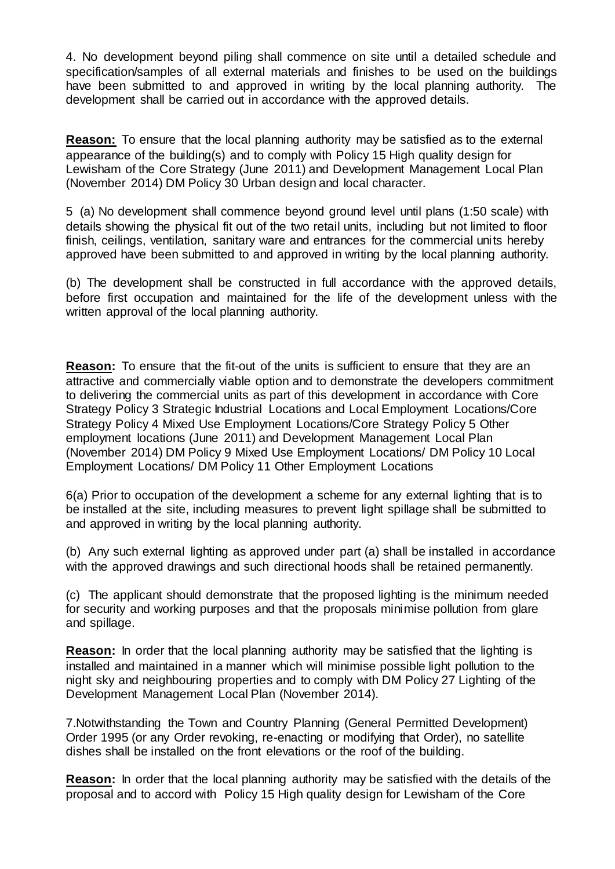4. No development beyond piling shall commence on site until a detailed schedule and specification/samples of all external materials and finishes to be used on the buildings have been submitted to and approved in writing by the local planning authority. The development shall be carried out in accordance with the approved details.

**Reason:** To ensure that the local planning authority may be satisfied as to the external appearance of the building(s) and to comply with Policy 15 High quality design for Lewisham of the Core Strategy (June 2011) and Development Management Local Plan (November 2014) DM Policy 30 Urban design and local character.

5 (a) No development shall commence beyond ground level until plans (1:50 scale) with details showing the physical fit out of the two retail units, including but not limited to floor finish, ceilings, ventilation, sanitary ware and entrances for the commercial units hereby approved have been submitted to and approved in writing by the local planning authority.

(b) The development shall be constructed in full accordance with the approved details, before first occupation and maintained for the life of the development unless with the written approval of the local planning authority.

**Reason:** To ensure that the fit-out of the units is sufficient to ensure that they are an attractive and commercially viable option and to demonstrate the developers commitment to delivering the commercial units as part of this development in accordance with Core Strategy Policy 3 Strategic Industrial Locations and Local Employment Locations/Core Strategy Policy 4 Mixed Use Employment Locations/Core Strategy Policy 5 Other employment locations (June 2011) and Development Management Local Plan (November 2014) DM Policy 9 Mixed Use Employment Locations/ DM Policy 10 Local Employment Locations/ DM Policy 11 Other Employment Locations

6(a) Prior to occupation of the development a scheme for any external lighting that is to be installed at the site, including measures to prevent light spillage shall be submitted to and approved in writing by the local planning authority.

(b) Any such external lighting as approved under part (a) shall be installed in accordance with the approved drawings and such directional hoods shall be retained permanently.

(c) The applicant should demonstrate that the proposed lighting is the minimum needed for security and working purposes and that the proposals minimise pollution from glare and spillage.

**Reason:** In order that the local planning authority may be satisfied that the lighting is installed and maintained in a manner which will minimise possible light pollution to the night sky and neighbouring properties and to comply with DM Policy 27 Lighting of the Development Management Local Plan (November 2014).

7.Notwithstanding the Town and Country Planning (General Permitted Development) Order 1995 (or any Order revoking, re-enacting or modifying that Order), no satellite dishes shall be installed on the front elevations or the roof of the building.

**Reason:** In order that the local planning authority may be satisfied with the details of the proposal and to accord with Policy 15 High quality design for Lewisham of the Core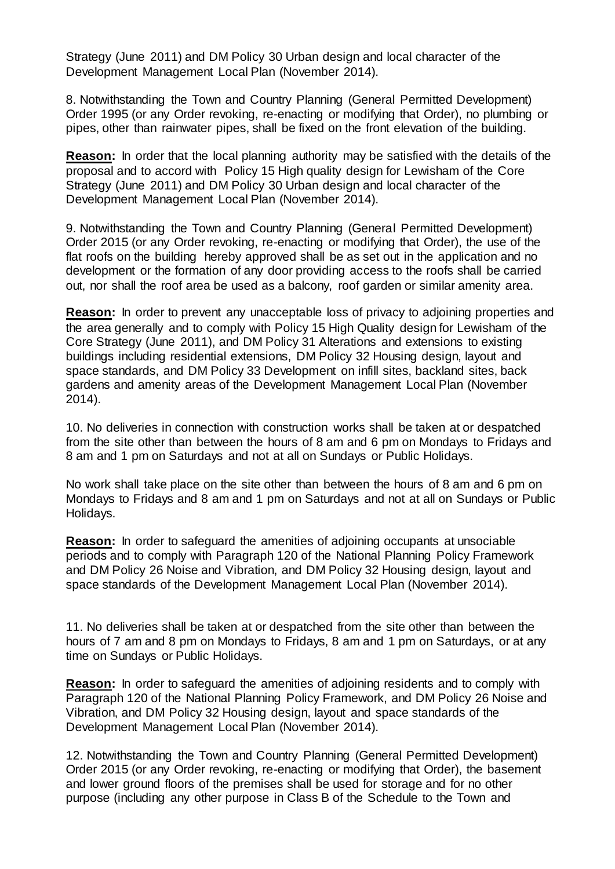Strategy (June 2011) and DM Policy 30 Urban design and local character of the Development Management Local Plan (November 2014).

8. Notwithstanding the Town and Country Planning (General Permitted Development) Order 1995 (or any Order revoking, re-enacting or modifying that Order), no plumbing or pipes, other than rainwater pipes, shall be fixed on the front elevation of the building.

**Reason:** In order that the local planning authority may be satisfied with the details of the proposal and to accord with Policy 15 High quality design for Lewisham of the Core Strategy (June 2011) and DM Policy 30 Urban design and local character of the Development Management Local Plan (November 2014).

9. Notwithstanding the Town and Country Planning (General Permitted Development) Order 2015 (or any Order revoking, re-enacting or modifying that Order), the use of the flat roofs on the building hereby approved shall be as set out in the application and no development or the formation of any door providing access to the roofs shall be carried out, nor shall the roof area be used as a balcony, roof garden or similar amenity area.

**Reason:** In order to prevent any unacceptable loss of privacy to adjoining properties and the area generally and to comply with Policy 15 High Quality design for Lewisham of the Core Strategy (June 2011), and DM Policy 31 Alterations and extensions to existing buildings including residential extensions, DM Policy 32 Housing design, layout and space standards, and DM Policy 33 Development on infill sites, backland sites, back gardens and amenity areas of the Development Management Local Plan (November 2014).

10. No deliveries in connection with construction works shall be taken at or despatched from the site other than between the hours of 8 am and 6 pm on Mondays to Fridays and 8 am and 1 pm on Saturdays and not at all on Sundays or Public Holidays.

No work shall take place on the site other than between the hours of 8 am and 6 pm on Mondays to Fridays and 8 am and 1 pm on Saturdays and not at all on Sundays or Public Holidays.

**Reason:** In order to safeguard the amenities of adjoining occupants at unsociable periods and to comply with Paragraph 120 of the National Planning Policy Framework and DM Policy 26 Noise and Vibration, and DM Policy 32 Housing design, layout and space standards of the Development Management Local Plan (November 2014).

11. No deliveries shall be taken at or despatched from the site other than between the hours of 7 am and 8 pm on Mondays to Fridays, 8 am and 1 pm on Saturdays, or at any time on Sundays or Public Holidays.

**Reason:** In order to safeguard the amenities of adjoining residents and to comply with Paragraph 120 of the National Planning Policy Framework, and DM Policy 26 Noise and Vibration, and DM Policy 32 Housing design, layout and space standards of the Development Management Local Plan (November 2014).

12. Notwithstanding the Town and Country Planning (General Permitted Development) Order 2015 (or any Order revoking, re-enacting or modifying that Order), the basement and lower ground floors of the premises shall be used for storage and for no other purpose (including any other purpose in Class B of the Schedule to the Town and